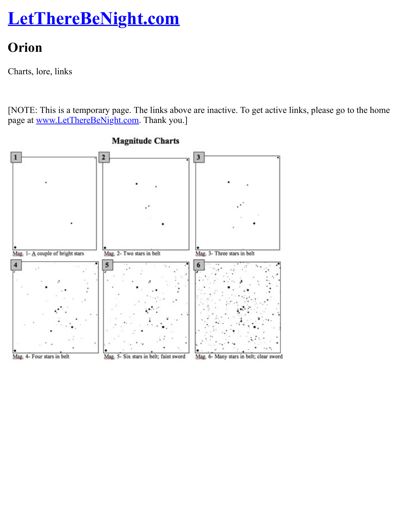[NOTE: This is a temporary page. The links above are inactive. To get active links, please go page at www.LetThereBeNight.com. Thank you.]

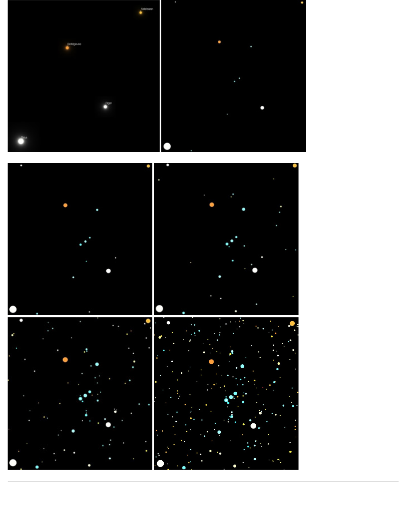



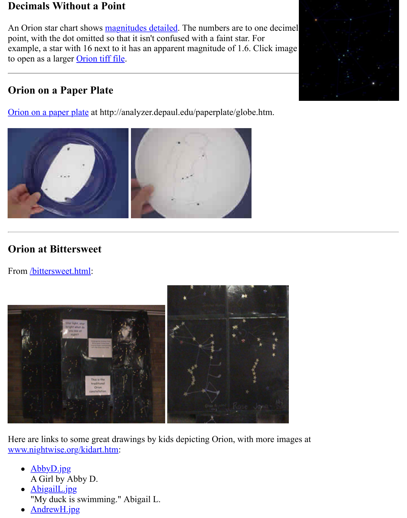

# **Orion on a Paper Pl[ate](http://www.lettherebenight.com/Orion-mags.tiff)**

Orion on a paper plate at http://analyzer.depaul.edu/paperplate/globe.htm.



# **[Orion at Bittersweet](http://www.lettherebenight.com/globe09242.JPG)**

### From /bittersweet.html:



Here are links to some great drawings by kids depicting Orion, with more images at www.nightwise.org/kidart.htm:

- AbbyD.jpg  $\bullet$ A Girl by Abby D.
- AbigailL.jpg "My duck is swimming." Abigail L.
- AndrewH.jpg